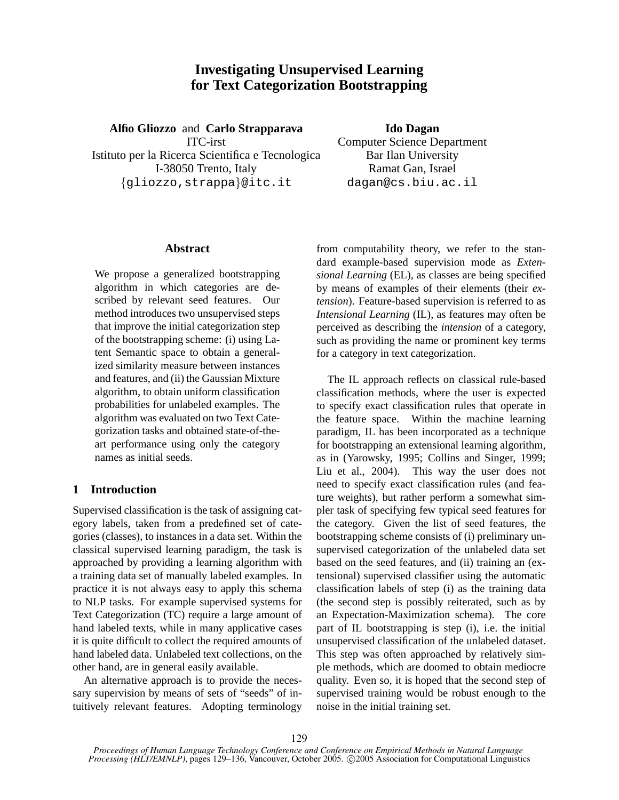# **Investigating Unsupervised Learning for Text Categorization Bootstrapping**

**Alfio Gliozzo** and **Carlo Strapparava** ITC-irst Istituto per la Ricerca Scientifica e Tecnologica I-38050 Trento, Italy {gliozzo,strappa}@itc.it

**Ido Dagan**

Computer Science Department Bar Ilan University Ramat Gan, Israel dagan@cs.biu.ac.il

## **Abstract**

We propose a generalized bootstrapping algorithm in which categories are described by relevant seed features. Our method introduces two unsupervised steps that improve the initial categorization step of the bootstrapping scheme: (i) using Latent Semantic space to obtain a generalized similarity measure between instances and features, and (ii) the Gaussian Mixture algorithm, to obtain uniform classification probabilities for unlabeled examples. The algorithm was evaluated on two Text Categorization tasks and obtained state-of-theart performance using only the category names as initial seeds.

# **1 Introduction**

Supervised classification is the task of assigning category labels, taken from a predefined set of categories (classes), to instances in a data set. Within the classical supervised learning paradigm, the task is approached by providing a learning algorithm with a training data set of manually labeled examples. In practice it is not always easy to apply this schema to NLP tasks. For example supervised systems for Text Categorization (TC) require a large amount of hand labeled texts, while in many applicative cases it is quite difficult to collect the required amounts of hand labeled data. Unlabeled text collections, on the other hand, are in general easily available.

An alternative approach is to provide the necessary supervision by means of sets of "seeds" of intuitively relevant features. Adopting terminology from computability theory, we refer to the standard example-based supervision mode as *Extensional Learning* (EL), as classes are being specified by means of examples of their elements (their *extension*). Feature-based supervision is referred to as *Intensional Learning* (IL), as features may often be perceived as describing the *intension* of a category, such as providing the name or prominent key terms for a category in text categorization.

The IL approach reflects on classical rule-based classification methods, where the user is expected to specify exact classification rules that operate in the feature space. Within the machine learning paradigm, IL has been incorporated as a technique for bootstrapping an extensional learning algorithm, as in (Yarowsky, 1995; Collins and Singer, 1999; Liu et al., 2004). This way the user does not need to specify exact classification rules (and feature weights), but rather perform a somewhat simpler task of specifying few typical seed features for the category. Given the list of seed features, the bootstrapping scheme consists of (i) preliminary unsupervised categorization of the unlabeled data set based on the seed features, and (ii) training an (extensional) supervised classifier using the automatic classification labels of step (i) as the training data (the second step is possibly reiterated, such as by an Expectation-Maximization schema). The core part of IL bootstrapping is step (i), i.e. the initial unsupervised classification of the unlabeled dataset. This step was often approached by relatively simple methods, which are doomed to obtain mediocre quality. Even so, it is hoped that the second step of supervised training would be robust enough to the noise in the initial training set.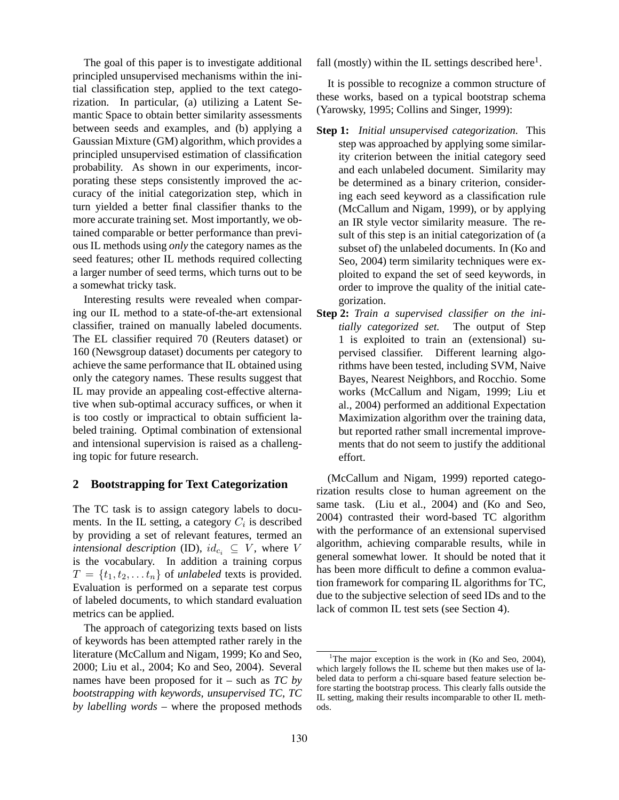The goal of this paper is to investigate additional principled unsupervised mechanisms within the initial classification step, applied to the text categorization. In particular, (a) utilizing a Latent Semantic Space to obtain better similarity assessments between seeds and examples, and (b) applying a Gaussian Mixture (GM) algorithm, which provides a principled unsupervised estimation of classification probability. As shown in our experiments, incorporating these steps consistently improved the accuracy of the initial categorization step, which in turn yielded a better final classifier thanks to the more accurate training set. Most importantly, we obtained comparable or better performance than previous IL methods using *only* the category names as the seed features; other IL methods required collecting a larger number of seed terms, which turns out to be a somewhat tricky task.

Interesting results were revealed when comparing our IL method to a state-of-the-art extensional classifier, trained on manually labeled documents. The EL classifier required 70 (Reuters dataset) or 160 (Newsgroup dataset) documents per category to achieve the same performance that IL obtained using only the category names. These results suggest that IL may provide an appealing cost-effective alternative when sub-optimal accuracy suffices, or when it is too costly or impractical to obtain sufficient labeled training. Optimal combination of extensional and intensional supervision is raised as a challenging topic for future research.

### **2 Bootstrapping for Text Categorization**

The TC task is to assign category labels to documents. In the IL setting, a category  $C_i$  is described by providing a set of relevant features, termed an *intensional description* (ID),  $id_{c_i} \subseteq V$ , where V is the vocabulary. In addition a training corpus  $T = \{t_1, t_2, \ldots t_n\}$  of *unlabeled* texts is provided. Evaluation is performed on a separate test corpus of labeled documents, to which standard evaluation metrics can be applied.

The approach of categorizing texts based on lists of keywords has been attempted rather rarely in the literature (McCallum and Nigam, 1999; Ko and Seo, 2000; Liu et al., 2004; Ko and Seo, 2004). Several names have been proposed for it – such as *TC by bootstrapping with keywords*, *unsupervised TC*, *TC by labelling words* – where the proposed methods

fall (mostly) within the IL settings described here $<sup>1</sup>$ .</sup>

It is possible to recognize a common structure of these works, based on a typical bootstrap schema (Yarowsky, 1995; Collins and Singer, 1999):

- **Step 1:** *Initial unsupervised categorization.* This step was approached by applying some similarity criterion between the initial category seed and each unlabeled document. Similarity may be determined as a binary criterion, considering each seed keyword as a classification rule (McCallum and Nigam, 1999), or by applying an IR style vector similarity measure. The result of this step is an initial categorization of (a subset of) the unlabeled documents. In (Ko and Seo, 2004) term similarity techniques were exploited to expand the set of seed keywords, in order to improve the quality of the initial categorization.
- **Step 2:** *Train a supervised classifier on the initially categorized set.* The output of Step 1 is exploited to train an (extensional) supervised classifier. Different learning algorithms have been tested, including SVM, Naive Bayes, Nearest Neighbors, and Rocchio. Some works (McCallum and Nigam, 1999; Liu et al., 2004) performed an additional Expectation Maximization algorithm over the training data, but reported rather small incremental improvements that do not seem to justify the additional effort.

(McCallum and Nigam, 1999) reported categorization results close to human agreement on the same task. (Liu et al., 2004) and (Ko and Seo, 2004) contrasted their word-based TC algorithm with the performance of an extensional supervised algorithm, achieving comparable results, while in general somewhat lower. It should be noted that it has been more difficult to define a common evaluation framework for comparing IL algorithms for TC, due to the subjective selection of seed IDs and to the lack of common IL test sets (see Section 4).

<sup>&</sup>lt;sup>1</sup>The major exception is the work in (Ko and Seo, 2004), which largely follows the IL scheme but then makes use of labeled data to perform a chi-square based feature selection before starting the bootstrap process. This clearly falls outside the IL setting, making their results incomparable to other IL methods.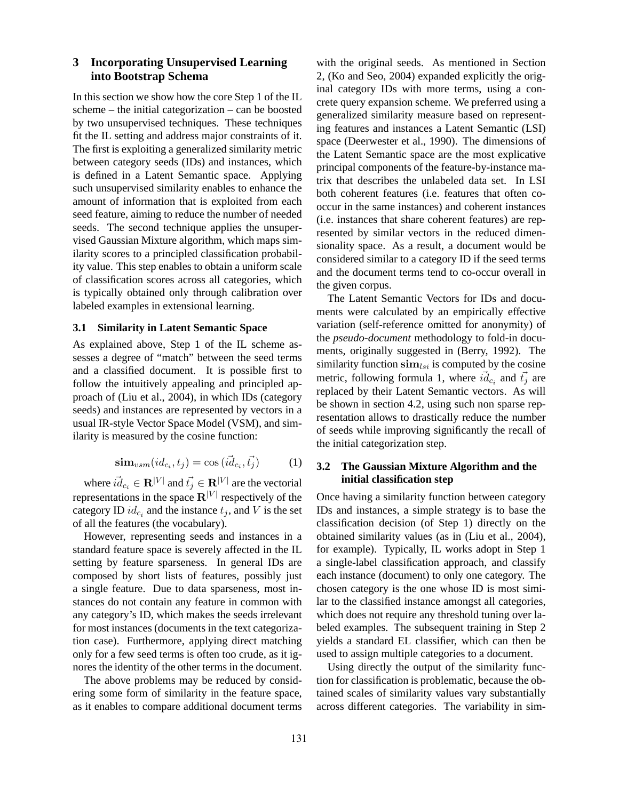# **3 Incorporating Unsupervised Learning into Bootstrap Schema**

In this section we show how the core Step 1 of the IL scheme – the initial categorization – can be boosted by two unsupervised techniques. These techniques fit the IL setting and address major constraints of it. The first is exploiting a generalized similarity metric between category seeds (IDs) and instances, which is defined in a Latent Semantic space. Applying such unsupervised similarity enables to enhance the amount of information that is exploited from each seed feature, aiming to reduce the number of needed seeds. The second technique applies the unsupervised Gaussian Mixture algorithm, which maps similarity scores to a principled classification probability value. This step enables to obtain a uniform scale of classification scores across all categories, which is typically obtained only through calibration over labeled examples in extensional learning.

### **3.1 Similarity in Latent Semantic Space**

As explained above, Step 1 of the IL scheme assesses a degree of "match" between the seed terms and a classified document. It is possible first to follow the intuitively appealing and principled approach of (Liu et al., 2004), in which IDs (category seeds) and instances are represented by vectors in a usual IR-style Vector Space Model (VSM), and similarity is measured by the cosine function:

$$
\operatorname{\bf sim}_{vsm}(id_{c_i}, t_j) = \cos(i\vec{d}_{c_i}, \vec{t_j})\tag{1}
$$

where  $\vec{id}_{c_i} \in \mathbf{R}^{|V|}$  and  $\vec{t_j} \in \mathbf{R}^{|V|}$  are the vectorial representations in the space  $\mathbf{R}^{[V]}$  respectively of the category ID  $id_{c_i}$  and the instance  $t_j$ , and V is the set of all the features (the vocabulary).

However, representing seeds and instances in a standard feature space is severely affected in the IL setting by feature sparseness. In general IDs are composed by short lists of features, possibly just a single feature. Due to data sparseness, most instances do not contain any feature in common with any category's ID, which makes the seeds irrelevant for most instances (documents in the text categorization case). Furthermore, applying direct matching only for a few seed terms is often too crude, as it ignores the identity of the other terms in the document.

The above problems may be reduced by considering some form of similarity in the feature space, as it enables to compare additional document terms with the original seeds. As mentioned in Section 2, (Ko and Seo, 2004) expanded explicitly the original category IDs with more terms, using a concrete query expansion scheme. We preferred using a generalized similarity measure based on representing features and instances a Latent Semantic (LSI) space (Deerwester et al., 1990). The dimensions of the Latent Semantic space are the most explicative principal components of the feature-by-instance matrix that describes the unlabeled data set. In LSI both coherent features (i.e. features that often cooccur in the same instances) and coherent instances (i.e. instances that share coherent features) are represented by similar vectors in the reduced dimensionality space. As a result, a document would be considered similar to a category ID if the seed terms and the document terms tend to co-occur overall in the given corpus.

The Latent Semantic Vectors for IDs and documents were calculated by an empirically effective variation (self-reference omitted for anonymity) of the *pseudo-document* methodology to fold-in documents, originally suggested in (Berry, 1992). The similarity function  $\sin n_{lsi}$  is computed by the cosine metric, following formula 1, where  $\vec{id}_{c_i}$  and  $\vec{t}_j$  are replaced by their Latent Semantic vectors. As will be shown in section 4.2, using such non sparse representation allows to drastically reduce the number of seeds while improving significantly the recall of the initial categorization step.

# **3.2 The Gaussian Mixture Algorithm and the initial classification step**

Once having a similarity function between category IDs and instances, a simple strategy is to base the classification decision (of Step 1) directly on the obtained similarity values (as in (Liu et al., 2004), for example). Typically, IL works adopt in Step 1 a single-label classification approach, and classify each instance (document) to only one category. The chosen category is the one whose ID is most similar to the classified instance amongst all categories, which does not require any threshold tuning over labeled examples. The subsequent training in Step 2 yields a standard EL classifier, which can then be used to assign multiple categories to a document.

Using directly the output of the similarity function for classification is problematic, because the obtained scales of similarity values vary substantially across different categories. The variability in sim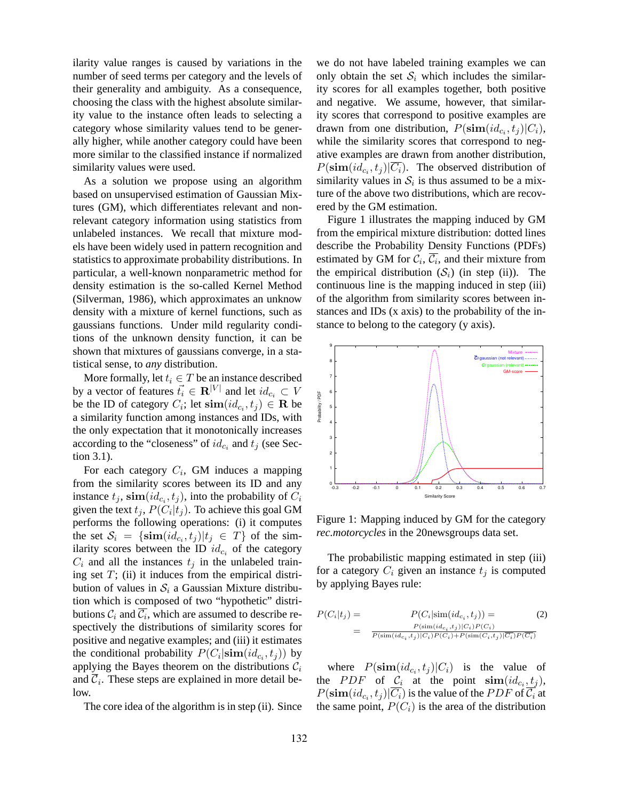ilarity value ranges is caused by variations in the number of seed terms per category and the levels of their generality and ambiguity. As a consequence, choosing the class with the highest absolute similarity value to the instance often leads to selecting a category whose similarity values tend to be generally higher, while another category could have been more similar to the classified instance if normalized similarity values were used.

As a solution we propose using an algorithm based on unsupervised estimation of Gaussian Mixtures (GM), which differentiates relevant and nonrelevant category information using statistics from unlabeled instances. We recall that mixture models have been widely used in pattern recognition and statistics to approximate probability distributions. In particular, a well-known nonparametric method for density estimation is the so-called Kernel Method (Silverman, 1986), which approximates an unknow density with a mixture of kernel functions, such as gaussians functions. Under mild regularity conditions of the unknown density function, it can be shown that mixtures of gaussians converge, in a statistical sense, to *any* distribution.

More formally, let  $t_i \in T$  be an instance described by a vector of features  $\vec{t}_i \in \mathbf{R}^{|V|}$  and let  $id_{c_i} \subset V$ be the ID of category  $C_i$ ; let  $\textbf{sim}(id_{c_i}, t_j) \in \mathbf{R}$  be a similarity function among instances and IDs, with the only expectation that it monotonically increases according to the "closeness" of  $id_{c_i}$  and  $t_j$  (see Section 3.1).

For each category  $C_i$ , GM induces a mapping from the similarity scores between its ID and any instance  $t_j$ ,  $\operatorname{sim}(id_{c_i}, t_j)$ , into the probability of  $C_i$ given the text  $t_j$ ,  $P(C_i|t_j)$ . To achieve this goal GM performs the following operations: (i) it computes the set  $\mathcal{S}_i = \{\textbf{sim}(id_{c_i}, t_j) | t_j \in T\}$  of the similarity scores between the ID  $id_{c_i}$  of the category  $C_i$  and all the instances  $t_j$  in the unlabeled training set  $T$ ; (ii) it induces from the empirical distribution of values in  $S_i$  a Gaussian Mixture distribution which is composed of two "hypothetic" distributions  $\mathcal{C}_i$  and  $\overline{\mathcal{C}_i}$ , which are assumed to describe respectively the distributions of similarity scores for positive and negative examples; and (iii) it estimates the conditional probability  $P(C_i | \textbf{sim}(id_{c_i}, t_j))$  by applying the Bayes theorem on the distributions  $C_i$ and  $\overline{C}_i$ . These steps are explained in more detail below.

The core idea of the algorithm is in step (ii). Since

we do not have labeled training examples we can only obtain the set  $S_i$  which includes the similarity scores for all examples together, both positive and negative. We assume, however, that similarity scores that correspond to positive examples are drawn from one distribution,  $P(\textbf{sim}(id_{c_i}, t_j)|C_i)$ , while the similarity scores that correspond to negative examples are drawn from another distribution,  $P(\textbf{sim}(id_{c_i}, t_j)|\overline{C_i})$ . The observed distribution of similarity values in  $S_i$  is thus assumed to be a mixture of the above two distributions, which are recovered by the GM estimation.

Figure 1 illustrates the mapping induced by GM from the empirical mixture distribution: dotted lines describe the Probability Density Functions (PDFs) estimated by GM for  $\mathcal{C}_i$ ,  $\mathcal{C}_i$ , and their mixture from the empirical distribution  $(S_i)$  (in step (ii)). The continuous line is the mapping induced in step (iii) of the algorithm from similarity scores between instances and IDs (x axis) to the probability of the instance to belong to the category (y axis).



Figure 1: Mapping induced by GM for the category *rec.motorcycles* in the 20newsgroups data set.

The probabilistic mapping estimated in step (iii) for a category  $C_i$  given an instance  $t_j$  is computed by applying Bayes rule:

$$
P(C_i|t_j) = P(C_i|\text{sim}(id_{c_i}, t_j)) = P(\text{sim}(id_{c_i}, t_j)|C_i)P(C_i)
$$
  
= 
$$
\frac{P(\text{sim}(id_{c_i}, t_j)|C_i)P(C_i)}{P(\text{sim}(id_{c_i}, t_j)|C_i)P(C_i) + P(\text{sim}(C_i, t_j)|\overline{C_i})P(\overline{C_i})}
$$
 (2)

where  $P(\text{sim}(id_{c_i}, t_j)|C_i)$  is the value of the *PDF* of  $C_i$  at the point  $\operatorname{sim}(id_{c_i}, t_j)$ ,  $P(\textbf{sim}(id_{c_i}, t_j)|C_i)$  is the value of the  $PDF$  of  $\mathcal{C}_i$  at the same point,  $P(C_i)$  is the area of the distribution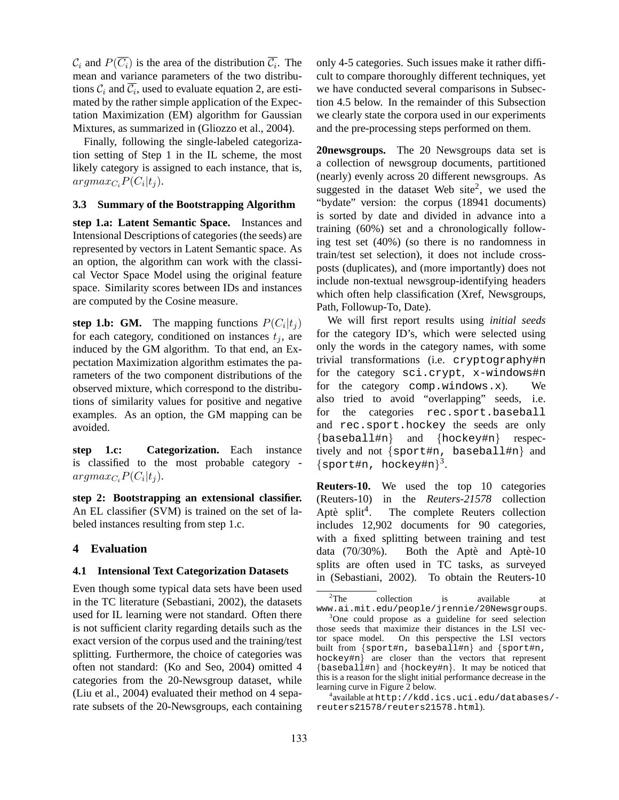$\mathcal{C}_i$  and  $P(\overline{C_i})$  is the area of the distribution  $\overline{\mathcal{C}_i}$ . The mean and variance parameters of the two distributions  $\mathcal{C}_i$  and  $\overline{\mathcal{C}_i}$ , used to evaluate equation 2, are estimated by the rather simple application of the Expectation Maximization (EM) algorithm for Gaussian Mixtures, as summarized in (Gliozzo et al., 2004).

Finally, following the single-labeled categorization setting of Step 1 in the IL scheme, the most likely category is assigned to each instance, that is,  $argmax_{C_i} P(C_i|t_j).$ 

#### **3.3 Summary of the Bootstrapping Algorithm**

**step 1.a: Latent Semantic Space.** Instances and Intensional Descriptions of categories (the seeds) are represented by vectors in Latent Semantic space. As an option, the algorithm can work with the classical Vector Space Model using the original feature space. Similarity scores between IDs and instances are computed by the Cosine measure.

**step 1.b: GM.** The mapping functions  $P(C_i|t_j)$ for each category, conditioned on instances  $t_i$ , are induced by the GM algorithm. To that end, an Expectation Maximization algorithm estimates the parameters of the two component distributions of the observed mixture, which correspond to the distributions of similarity values for positive and negative examples. As an option, the GM mapping can be avoided.

**step 1.c: Categorization.** Each instance is classified to the most probable category  $argmax_{C_i} P(C_i|t_j).$ 

**step 2: Bootstrapping an extensional classifier.** An EL classifier (SVM) is trained on the set of labeled instances resulting from step 1.c.

### **4 Evaluation**

#### **4.1 Intensional Text Categorization Datasets**

Even though some typical data sets have been used in the TC literature (Sebastiani, 2002), the datasets used for IL learning were not standard. Often there is not sufficient clarity regarding details such as the exact version of the corpus used and the training/test splitting. Furthermore, the choice of categories was often not standard: (Ko and Seo, 2004) omitted 4 categories from the 20-Newsgroup dataset, while (Liu et al., 2004) evaluated their method on 4 separate subsets of the 20-Newsgroups, each containing only 4-5 categories. Such issues make it rather difficult to compare thoroughly different techniques, yet we have conducted several comparisons in Subsection 4.5 below. In the remainder of this Subsection we clearly state the corpora used in our experiments and the pre-processing steps performed on them.

**20newsgroups.** The 20 Newsgroups data set is a collection of newsgroup documents, partitioned (nearly) evenly across 20 different newsgroups. As suggested in the dataset Web site<sup>2</sup>, we used the "bydate" version: the corpus (18941 documents) is sorted by date and divided in advance into a training (60%) set and a chronologically following test set (40%) (so there is no randomness in train/test set selection), it does not include crossposts (duplicates), and (more importantly) does not include non-textual newsgroup-identifying headers which often help classification (Xref, Newsgroups, Path, Followup-To, Date).

We will first report results using *initial seeds* for the category ID's, which were selected using only the words in the category names, with some trivial transformations (i.e. cryptography#n for the category sci.crypt, x-windows#n for the category comp.windows.x). We also tried to avoid "overlapping" seeds, i.e. for the categories rec.sport.baseball and rec.sport.hockey the seeds are only {baseball#n} and {hockey#n} respectively and not {sport#n, baseball#n} and  ${sporttn, hockey#n}^3$ .

**Reuters-10.** We used the top 10 categories (Reuters-10) in the *Reuters-21578* collection Aptè split<sup>4</sup> The complete Reuters collection includes 12,902 documents for 90 categories, with a fixed splitting between training and test data  $(70/30\%)$ . Both the Aptè and Aptè-10 splits are often used in TC tasks, as surveyed in (Sebastiani, 2002). To obtain the Reuters-10

<sup>&</sup>lt;sup>2</sup>The collection is available at www.ai.mit.edu/people/jrennie/20Newsgroups.

<sup>&</sup>lt;sup>3</sup>One could propose as a guideline for seed selection those seeds that maximize their distances in the LSI vector space model. On this perspective the LSI vectors built from {sport#n, baseball#n} and {sport#n, hockey#n} are closer than the vectors that represent {baseball#n} and {hockey#n}. It may be noticed that this is a reason for the slight initial performance decrease in the learning curve in Figure 2 below.

<sup>4</sup> available at http://kdd.ics.uci.edu/databases/ reuters21578/reuters21578.html).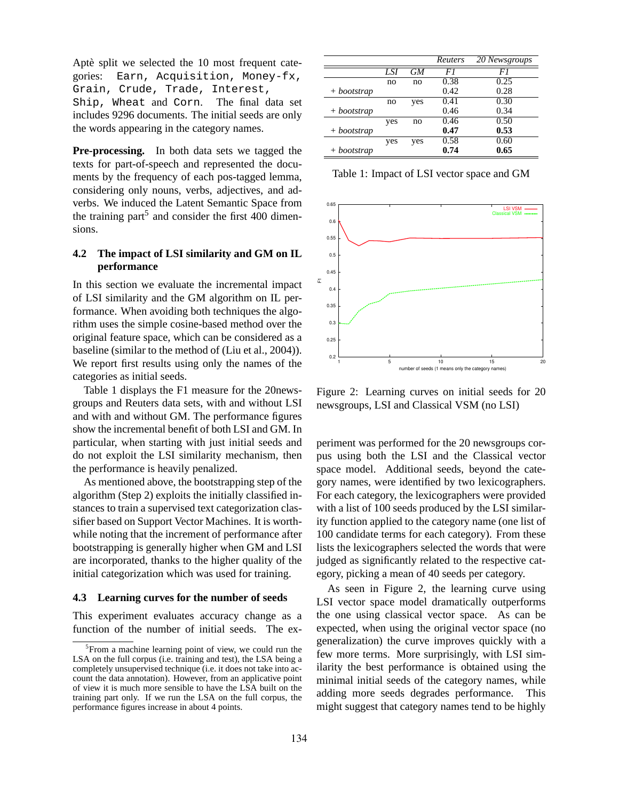Aptè split we selected the 10 most frequent categories: Earn, Acquisition, Money-fx, Grain, Crude, Trade, Interest, Ship, Wheat and Corn. The final data set includes 9296 documents. The initial seeds are only the words appearing in the category names.

**Pre-processing.** In both data sets we tagged the texts for part-of-speech and represented the documents by the frequency of each pos-tagged lemma, considering only nouns, verbs, adjectives, and adverbs. We induced the Latent Semantic Space from the training part<sup>5</sup> and consider the first 400 dimensions.

# **4.2 The impact of LSI similarity and GM on IL performance**

In this section we evaluate the incremental impact of LSI similarity and the GM algorithm on IL performance. When avoiding both techniques the algorithm uses the simple cosine-based method over the original feature space, which can be considered as a baseline (similar to the method of (Liu et al., 2004)). We report first results using only the names of the categories as initial seeds.

Table 1 displays the F1 measure for the 20newsgroups and Reuters data sets, with and without LSI and with and without GM. The performance figures show the incremental benefit of both LSI and GM. In particular, when starting with just initial seeds and do not exploit the LSI similarity mechanism, then the performance is heavily penalized.

As mentioned above, the bootstrapping step of the algorithm (Step 2) exploits the initially classified instances to train a supervised text categorization classifier based on Support Vector Machines. It is worthwhile noting that the increment of performance after bootstrapping is generally higher when GM and LSI are incorporated, thanks to the higher quality of the initial categorization which was used for training.

#### **4.3 Learning curves for the number of seeds**

This experiment evaluates accuracy change as a function of the number of initial seeds. The ex-

|               |     |     | Reuters | 20 Newsgroups |
|---------------|-----|-----|---------|---------------|
|               | LSI | GМ  | F1      | FI            |
|               | no  | no  | 0.38    | 0.25          |
| + bootstrap   |     |     | 0.42    | 0.28          |
|               | no  | yes | 0.41    | 0.30          |
| + bootstrap   |     |     | 0.46    | 0.34          |
|               | yes | no  | 0.46    | 0.50          |
| $+$ bootstrap |     |     | 0.47    | 0.53          |
|               | yes | yes | 0.58    | 0.60          |
| + bootstrap   |     |     | 0.74    | 0.65          |

Table 1: Impact of LSI vector space and GM



Figure 2: Learning curves on initial seeds for 20 newsgroups, LSI and Classical VSM (no LSI)

periment was performed for the 20 newsgroups corpus using both the LSI and the Classical vector space model. Additional seeds, beyond the category names, were identified by two lexicographers. For each category, the lexicographers were provided with a list of 100 seeds produced by the LSI similarity function applied to the category name (one list of 100 candidate terms for each category). From these lists the lexicographers selected the words that were judged as significantly related to the respective category, picking a mean of 40 seeds per category.

As seen in Figure 2, the learning curve using LSI vector space model dramatically outperforms the one using classical vector space. As can be expected, when using the original vector space (no generalization) the curve improves quickly with a few more terms. More surprisingly, with LSI similarity the best performance is obtained using the minimal initial seeds of the category names, while adding more seeds degrades performance. This might suggest that category names tend to be highly

<sup>&</sup>lt;sup>5</sup>From a machine learning point of view, we could run the LSA on the full corpus (i.e. training and test), the LSA being a completely unsupervised technique (i.e. it does not take into account the data annotation). However, from an applicative point of view it is much more sensible to have the LSA built on the training part only. If we run the LSA on the full corpus, the performance figures increase in about 4 points.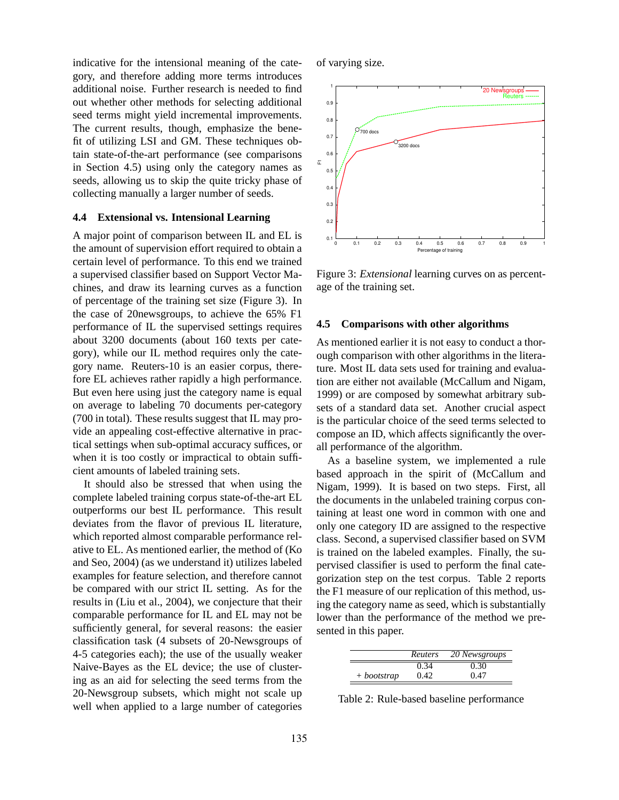indicative for the intensional meaning of the category, and therefore adding more terms introduces additional noise. Further research is needed to find out whether other methods for selecting additional seed terms might yield incremental improvements. The current results, though, emphasize the benefit of utilizing LSI and GM. These techniques obtain state-of-the-art performance (see comparisons in Section 4.5) using only the category names as seeds, allowing us to skip the quite tricky phase of collecting manually a larger number of seeds.

#### **4.4 Extensional vs. Intensional Learning**

A major point of comparison between IL and EL is the amount of supervision effort required to obtain a certain level of performance. To this end we trained a supervised classifier based on Support Vector Machines, and draw its learning curves as a function of percentage of the training set size (Figure 3). In the case of 20newsgroups, to achieve the 65% F1 performance of IL the supervised settings requires about 3200 documents (about 160 texts per category), while our IL method requires only the category name. Reuters-10 is an easier corpus, therefore EL achieves rather rapidly a high performance. But even here using just the category name is equal on average to labeling 70 documents per-category (700 in total). These results suggest that IL may provide an appealing cost-effective alternative in practical settings when sub-optimal accuracy suffices, or when it is too costly or impractical to obtain sufficient amounts of labeled training sets.

It should also be stressed that when using the complete labeled training corpus state-of-the-art EL outperforms our best IL performance. This result deviates from the flavor of previous IL literature, which reported almost comparable performance relative to EL. As mentioned earlier, the method of (Ko and Seo, 2004) (as we understand it) utilizes labeled examples for feature selection, and therefore cannot be compared with our strict IL setting. As for the results in (Liu et al., 2004), we conjecture that their comparable performance for IL and EL may not be sufficiently general, for several reasons: the easier classification task (4 subsets of 20-Newsgroups of 4-5 categories each); the use of the usually weaker Naive-Bayes as the EL device; the use of clustering as an aid for selecting the seed terms from the 20-Newsgroup subsets, which might not scale up well when applied to a large number of categories of varying size.



Figure 3: *Extensional* learning curves on as percentage of the training set.

#### **4.5 Comparisons with other algorithms**

As mentioned earlier it is not easy to conduct a thorough comparison with other algorithms in the literature. Most IL data sets used for training and evaluation are either not available (McCallum and Nigam, 1999) or are composed by somewhat arbitrary subsets of a standard data set. Another crucial aspect is the particular choice of the seed terms selected to compose an ID, which affects significantly the overall performance of the algorithm.

As a baseline system, we implemented a rule based approach in the spirit of (McCallum and Nigam, 1999). It is based on two steps. First, all the documents in the unlabeled training corpus containing at least one word in common with one and only one category ID are assigned to the respective class. Second, a supervised classifier based on SVM is trained on the labeled examples. Finally, the supervised classifier is used to perform the final categorization step on the test corpus. Table 2 reports the F1 measure of our replication of this method, using the category name as seed, which is substantially lower than the performance of the method we presented in this paper.

|             | <b>Reuters</b> | 20 Newsgroups |
|-------------|----------------|---------------|
|             | 0.34           | 0.30          |
| + bootstrap | 0.42           | 0.47          |

Table 2: Rule-based baseline performance